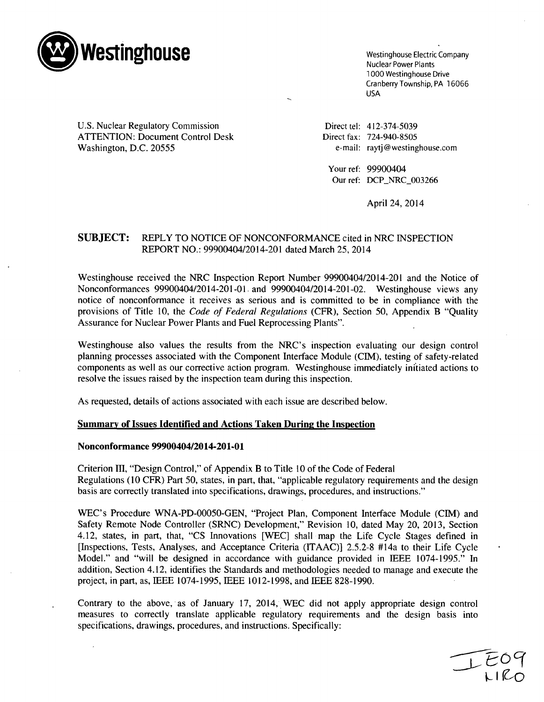

1000 Westinghouse Drive Cranberry Township, PA 16066 USA

U.S. Nuclear Regulatory Commission Direct tel: 412-374-5039 ATTENTION: Document Control Desk Direct fax: 724-940-8505 Washington, D.C. 20555 e-mail: raytj@westinghouse.com

Your ref: 99900404 Our ref: DCP\_NRC\_003266

April 24, 2014

# **SUBJECT:** REPLY TO NOTICE OF NONCONFORMANCE cited in NRC INSPECTION REPORT NO.: 99900404/2014-201 dated March 25, 2014

Westinghouse received the NRC Inspection Report Number 99900404/2014-201 and the Notice of Nonconformances 99900404/2014-201-01. and 99900404/2014-201-02. Westinghouse views any notice of nonconformance it receives as serious and is committed to be in compliance with the provisions of Title 10, the *Code of Federal Regulations* (CFR), Section 50, Appendix B "Quality Assurance for Nuclear Power Plants and Fuel Reprocessing Plants".

Westinghouse also values the results from the NRC's inspection evaluating our design control planning processes associated with the Component Interface Module (CIM), testing of safety-related components as well as our corrective action program. Westinghouse immediately initiated actions to resolve the issues raised by the inspection team during this inspection.

As requested, details of actions associated with each issue are described below.

## Summary of Issues Identified and Actions Taken During the Inspection

### Nonconformance 99900404/2014-201-01

Criterion III, "Design Control," of Appendix B to Title 10 of the Code of Federal Regulations (10 CFR) Part 50, states, in part, that, "applicable regulatory requirements and the design basis are correctly translated into specifications, drawings, procedures, and instructions."

WEC's Procedure WNA-PD-00050-GEN, "Project Plan, Component Interface Module (CIM) and Safety Remote Node Controller (SRNC) Development," Revision 10, dated May 20, 2013, Section 4.12, states, in part, that, "CS Innovations [WEC] shall map the Life Cycle Stages defined in [Inspections, Tests, Analyses, and Acceptance Criteria (ITAAC)] 2.5.2-8 #14a to their Life Cycle Model." and "will be designed in accordance with guidance provided in IEEE 1074-1995." In addition, Section 4.12, identifies the Standards and methodologies needed to manage and execute the project, in part, as, IEEE 1074-1995, IEEE 1012-1998, and IEEE 828-1990.

Contrary to the above, as of January 17, 2014, WEC did not apply appropriate design control measures to correctly translate applicable regulatory requirements and the design basis into specifications, drawings, procedures, and instructions. Specifically: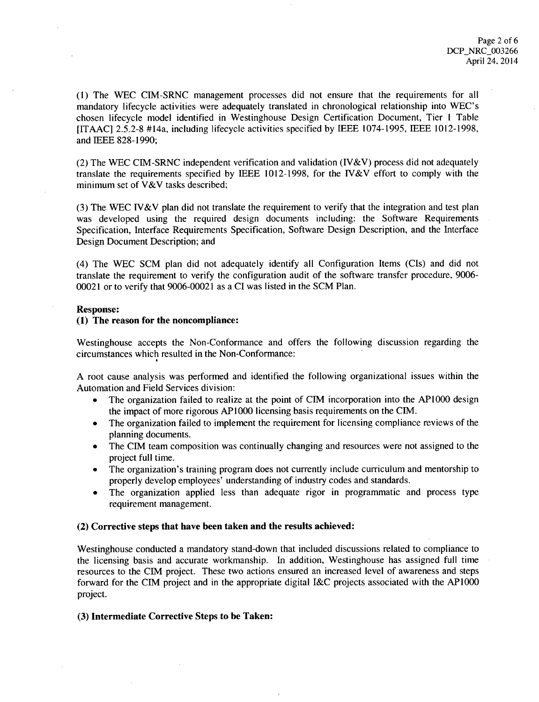**(1)** The WEC CIM-SRNC management processes did not ensure that the requirements for all mandatory lifecycle activities were adequately translated in chronological relationship into WEC's chosen lifecycle model identified in Westinghouse Design Certification Document, Tier **I** Table **[ITAACI** 2.5.2-8 #14a, including lifecycle activities specified by IEEE 1074-1995, IEEE 1012-1998, and IEEE 828-1990;

(2) The WEC CIM-SRNC independent verification and validation (IV&V) process did not adequately translate the requirements specified by IEEE 1012-1998, for the IV&V effort to comply with the minimum set of V&V tasks described;

(3) The WEC IV&V plan did not translate the requirement to verify that the integration and test plan was developed using the required design documents including: the Software Requirements Specification, Interface Requirements Specification, Software Design Description, and the Interface Design Document Description; and

(4) The WEC SCM plan did not adequately identify all Configuration Items (CIs) and did not translate the requirement to verify the configuration audit of the software transfer procedure, 9006- 00021 or to verify that 9006-00021 as a CI was listed in the SCM Plan.

### Response:

### (1) The reason for the noncompliance:

Westinghouse accepts the Non-Conformance and offers the following discussion regarding the circumstances which resulted in the Non-Conformance:

A root cause analysis was performed and identified the following organizational issues within the Automation and Field Services division:

- The organization failed to realize at the point of CIM incorporation into the AP1000 design the impact of more rigorous APIOO0 licensing basis requirements on the CIM.
- The organization failed to implement the requirement for licensing compliance reviews of the planning documents.
- The CIM team composition was continually changing and resources were not assigned to the project full time.
- The organization's training program does not currently include curriculum and mentorship to properly develop employees' understanding of industry codes and standards.
- The organization applied less than adequate rigor in programmatic and process type requirement management.

## (2) Corrective steps that have been taken and the results achieved:

Westinghouse conducted a mandatory stand-down that included discussions related to compliance to the licensing basis and accurate workmanship. In addition, Westinghouse has assigned full time resources to the CIM project. These two actions ensured an increased level of awareness and steps forward for the CIM project and in the appropriate digital I&C projects associated with the APIOOO project.

## (3) Intermediate Corrective Steps to be Taken: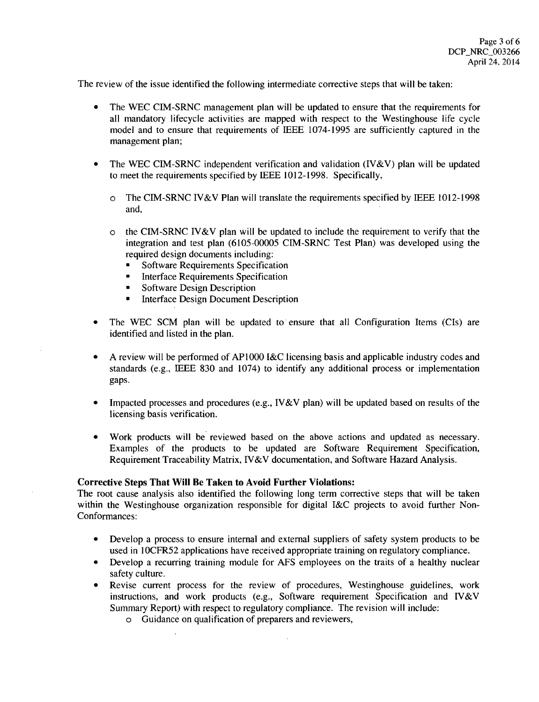The review of the issue identified the following intermediate corrective steps that will be taken:

- The WEC CIM-SRNC management plan will be updated to ensure that the requirements for all mandatory lifecycle activities are mapped with respect to the Westinghouse life cycle model and to ensure that requirements of IEEE 1074-1995 are sufficiently captured in the management plan;
- The WEC CIM-SRNC independent verification and validation (IV&V) plan will be updated to meet the requirements specified by IEEE 1012-1998. Specifically,
	- o The CIM-SRNC IV&V Plan will translate the requirements specified by IEEE 1012-1998 and,
	- o the CIM-SRNC IV&V plan will be updated to include the requirement to verify that the integration and test plan (6105-00005 CIM-SRNC Test Plan) was developed using the required design documents including:
		- **"** Software Requirements Specification
		- **"** Interface Requirements Specification
		- **"** Software Design Description
		- **"** Interface Design Document Description
- **"** The WEC SCM plan will be updated to ensure that all Configuration Items (CIs) are identified and listed in the plan.
- A review will be performed of AP1000 I&C licensing basis and applicable industry codes and standards (e.g., IEEE 830 and 1074) to identify any additional process or implementation gaps.
- Impacted processes and procedures (e.g., IV&V plan) will be updated based on results of the licensing basis verification.
- Work products will be reviewed based on the above actions and updated as necessary. Examples of the products to be updated are Software Requirement Specification, Requirement Traceability Matrix, IV&V documentation, and Software Hazard Analysis.

## Corrective Steps That Will Be Taken to Avoid Further Violations:

The root cause analysis also identified the following long term corrective steps that will be taken within the Westinghouse organization responsible for digital I&C projects to avoid further Non-Conformances:

- Develop a process to ensure internal and external suppliers of safety system products to be used in **IOCFR52** applications have received appropriate training on regulatory compliance.
- Develop a recurring training module for AFS employees on the traits of a healthy nuclear safety culture.
- **"** Revise current process for the review of procedures, Westinghouse guidelines, work instructions, and work products (e.g., Software requirement Specification and IV&V Summary Report) with respect to regulatory compliance. The revision will include:
	- o Guidance on qualification of preparers and reviewers,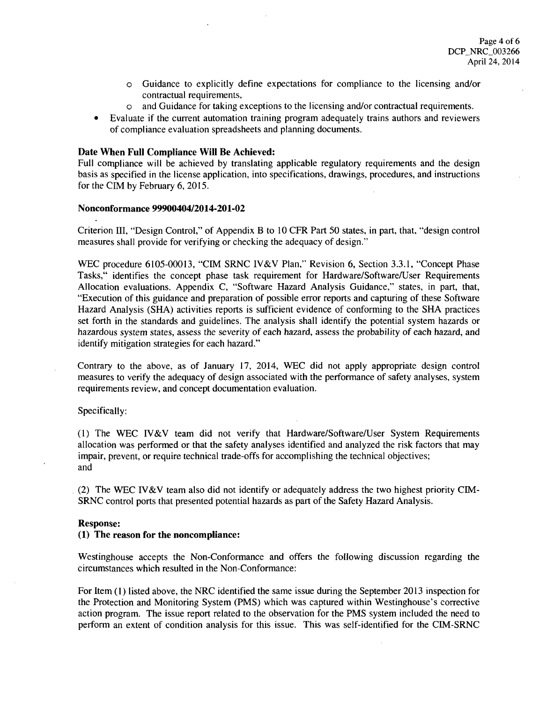- o Guidance to explicitly define expectations for compliance to the licensing and/or contractual requirements,
- o and Guidance for taking exceptions to the licensing and/or contractual requirements.
- Evaluate if the current automation training program adequately trains authors and reviewers of compliance evaluation spreadsheets and planning documents.

## Date When Full Compliance Will Be Achieved:

Full compliance will be achieved by translating applicable regulatory requirements and the design basis as specified in the license application, into specifications, drawings, procedures, and instructions for the CIM by February 6, 2015.

## Nonconformance 99900404/2014-201-02

Criterion III, "Design Control," of Appendix B to 10 CFR Part 50 states, in part, that, "design control measures shall provide for verifying or checking the adequacy of design."

WEC procedure 6105-00013, "CIM SRNC IV&V Plan," Revision 6, Section 3.3.1, "Concept Phase Tasks," identifies the concept phase task requirement for Hardware/Software/User Requirements Allocation evaluations. Appendix C, "Software Hazard Analysis Guidance," states, in part, that, "Execution of this guidance and preparation of possible error reports and capturing of these Software Hazard Analysis (SHA) activities reports is sufficient evidence of conforming to the **SHA** practices set forth in the standards and guidelines. The analysis shall identify the potential system hazards or hazardous system states, assess the severity of each hazard, assess the probability of each hazard, and identify mitigation strategies for each hazard."

Contrary to the above, as of January 17, 2014, WEC did not apply appropriate design control measures to verify the adequacy of design associated with the performance of safety analyses, system requirements review, and concept documentation evaluation.

Specifically:

(1) The WEC IV&V team did not verify that Hardware/Software/User System Requirements allocation was performed or that the safety analyses identified and analyzed the risk factors that may impair, prevent, or require technical trade-offs for accomplishing the technical objectives; and

(2) The WEC IV&V team also did not identify or adequately address the two highest priority CIM-SRNC control ports that presented potential hazards as part of the Safety Hazard Analysis.

## Response:

## **(1)** The reason for the noncompliance:

Westinghouse accepts the Non-Conformance and offers the following discussion regarding the circumstances which resulted in the Non-Conformance:

For Item (1) listed above, the NRC identified the same issue during the September 2013 inspection for the Protection and Monitoring System (PMS) which was captured within Westinghouse's corrective action program. The issue report related to the observation for the PMS system included the need to perform an extent of condition analysis for this issue. This was self-identified for the CIM-SRNC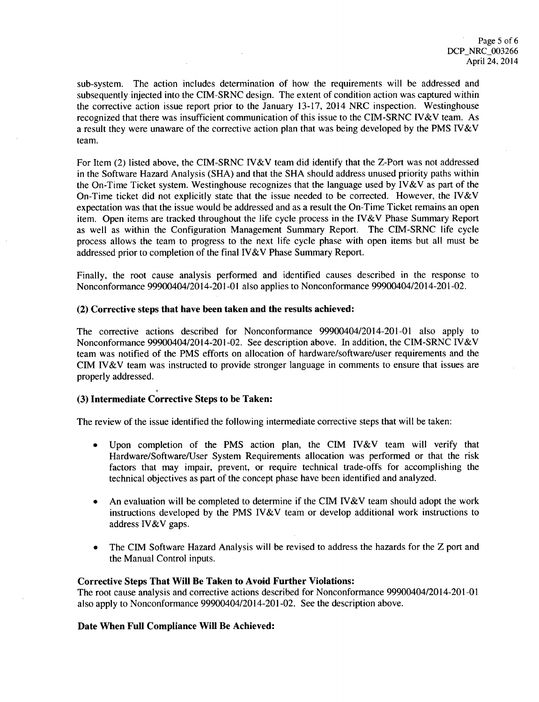sub-system. The action includes determination of how the requirements will be addressed and subsequently injected into the CIM-SRNC design. The extent of condition action was captured within the corrective action issue report prior to the January 13-17, 2014 NRC inspection. Westinghouse recognized that there was insufficient communication of this issue to the CIM-SRNC IV&V team. As a result they were unaware of the corrective action plan that was being developed by the PMS IV&V team.

For Item (2) listed above, the CIM-SRNC IV&V team did identify that the Z-Port was not addressed in the Software Hazard Analysis (SHA) and that the SHA should address unused priority paths within the On-Time Ticket system. Westinghouse recognizes that the language used by IV&V as part of the On-Time ticket did not explicitly state that the issue needed to be corrected. However, the IV&V expectation was that the issue would be addressed and as a result the On-Time Ticket remains an open item. Open items are tracked throughout the life cycle process in the IV&V Phase Summary Report as well as within the Configuration Management Summary Report. The CIM-SRNC life cycle process allows the team to progress to the next life cycle phase with open items but all must be addressed prior to completion of the final IV&V Phase Summary Report.

Finally, the root cause analysis performed and identified causes described in the response to Nonconformance 99900404/2014-201-01 also applies to Nonconformance 99900404/2014-201-02.

## (2) Corrective steps that have been taken and the results achieved:

The corrective actions described for Nonconformance 99900404/2014-201-01 also apply to Nonconformance 99900404/2014-201-02. See description above. In addition, the CIM-SRNC IV&V team was notified of the PMS efforts on allocation of hardware/software/user requirements and the CIM IV&V team was instructed to provide stronger language in comments to ensure that issues are properly addressed.

## (3) Intermediate Corrective Steps to be Taken:

The review of the issue identified the following intermediate corrective steps that will be taken:

- **"** Upon completion of the PMS action plan, the CIM IV&V team will verify that Hardware/Software/User System Requirements allocation was performed or that the risk factors that may impair, prevent, or require technical trade-offs for accomplishing the technical objectives as part of the concept phase have been identified and analyzed.
- An evaluation will be completed to determine if the CIM IV&V team should adopt the work instructions developed by the PMS IV&V team or develop additional work instructions to address 1V&V gaps.
- The CIM Software Hazard Analysis will be revised to address the hazards for the Z port and the Manual Control inputs.

### Corrective Steps That Will Be Taken to Avoid Further Violations:

The root cause analysis and corrective actions described for Nonconformance 99900404/2014-201-01 also apply to Nonconformance 99900404/2014-201-02. See the description above.

## Date When Full Compliance **Will** Be Achieved: